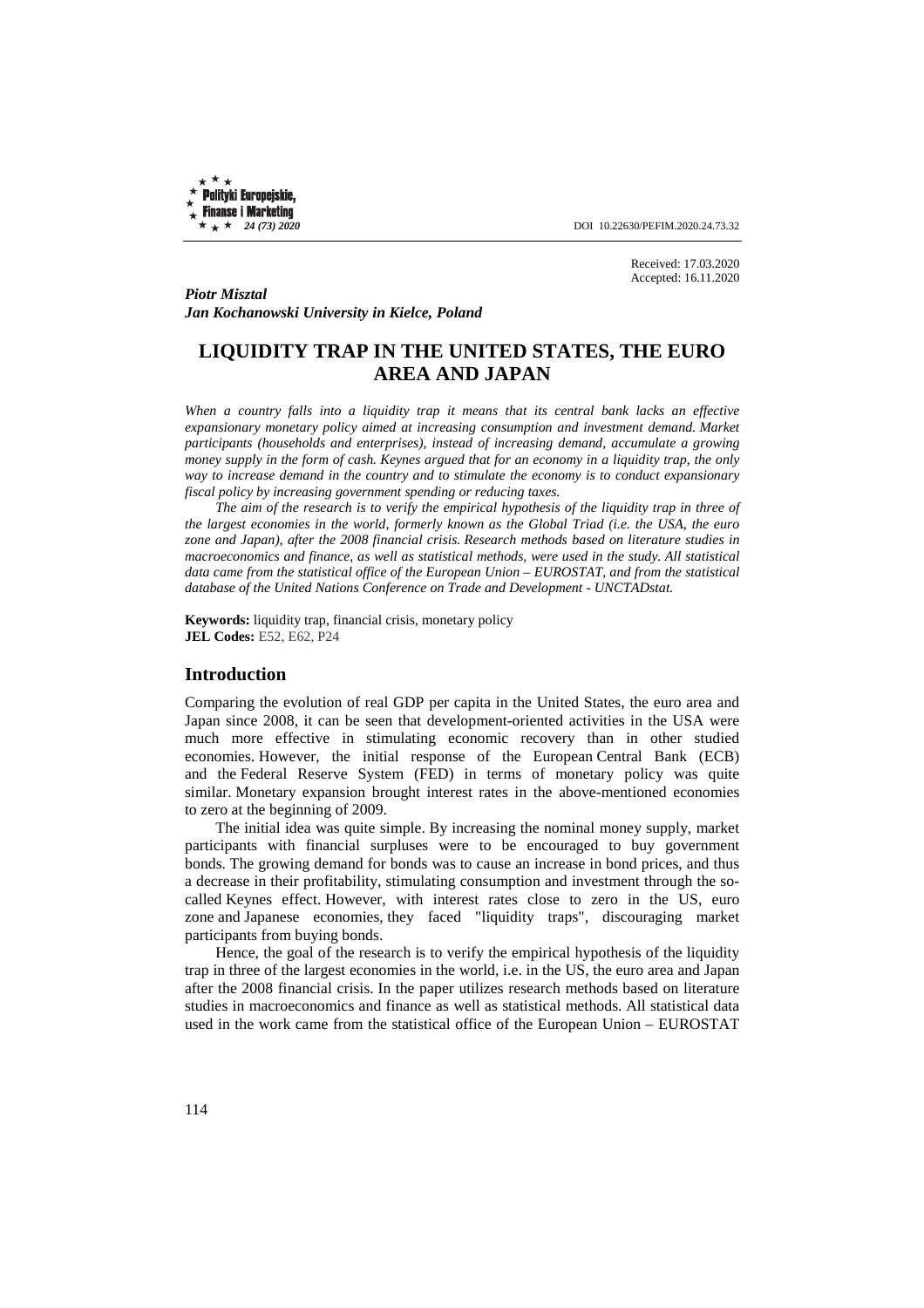**Polityki Europejskie, Finanse i Marketing** 

 $\star +$   $\star$  24 (73) 2020 **DOI** 10.22630/PEFIM.2020.24.73.32

Received: 17.03.2020 Accepted: 16.11.2020

*Piotr Misztal Jan Kochanowski University in Kielce, Poland* 

# **LIQUIDITY TRAP IN THE UNITED STATES, THE EURO AREA AND JAPAN**

*When a country falls into a liquidity trap it means that its central bank lacks an effective expansionary monetary policy aimed at increasing consumption and investment demand. Market participants (households and enterprises), instead of increasing demand, accumulate a growing money supply in the form of cash. Keynes argued that for an economy in a liquidity trap, the only way to increase demand in the country and to stimulate the economy is to conduct expansionary fiscal policy by increasing government spending or reducing taxes.* 

*The aim of the research is to verify the empirical hypothesis of the liquidity trap in three of the largest economies in the world, formerly known as the Global Triad (i.e. the USA, the euro zone and Japan), after the 2008 financial crisis. Research methods based on literature studies in macroeconomics and finance, as well as statistical methods, were used in the study. All statistical*  data came from the statistical office of the European Union – EUROSTAT, and from the statistical *database of the United Nations Conference on Trade and Development - UNCTADstat.* 

**Keywords:** liquidity trap, financial crisis, monetary policy **JEL Codes:** E52, E62, P24

#### **Introduction**

Comparing the evolution of real GDP per capita in the United States, the euro area and Japan since 2008, it can be seen that development-oriented activities in the USA were much more effective in stimulating economic recovery than in other studied economies. However, the initial response of the European Central Bank (ECB) and the Federal Reserve System (FED) in terms of monetary policy was quite similar. Monetary expansion brought interest rates in the above-mentioned economies to zero at the beginning of 2009.

The initial idea was quite simple. By increasing the nominal money supply, market participants with financial surpluses were to be encouraged to buy government bonds. The growing demand for bonds was to cause an increase in bond prices, and thus a decrease in their profitability, stimulating consumption and investment through the socalled Keynes effect. However, with interest rates close to zero in the US, euro zone and Japanese economies, they faced "liquidity traps", discouraging market participants from buying bonds.

Hence, the goal of the research is to verify the empirical hypothesis of the liquidity trap in three of the largest economies in the world, i.e. in the US, the euro area and Japan after the 2008 financial crisis. In the paper utilizes research methods based on literature studies in macroeconomics and finance as well as statistical methods. All statistical data used in the work came from the statistical office of the European Union – EUROSTAT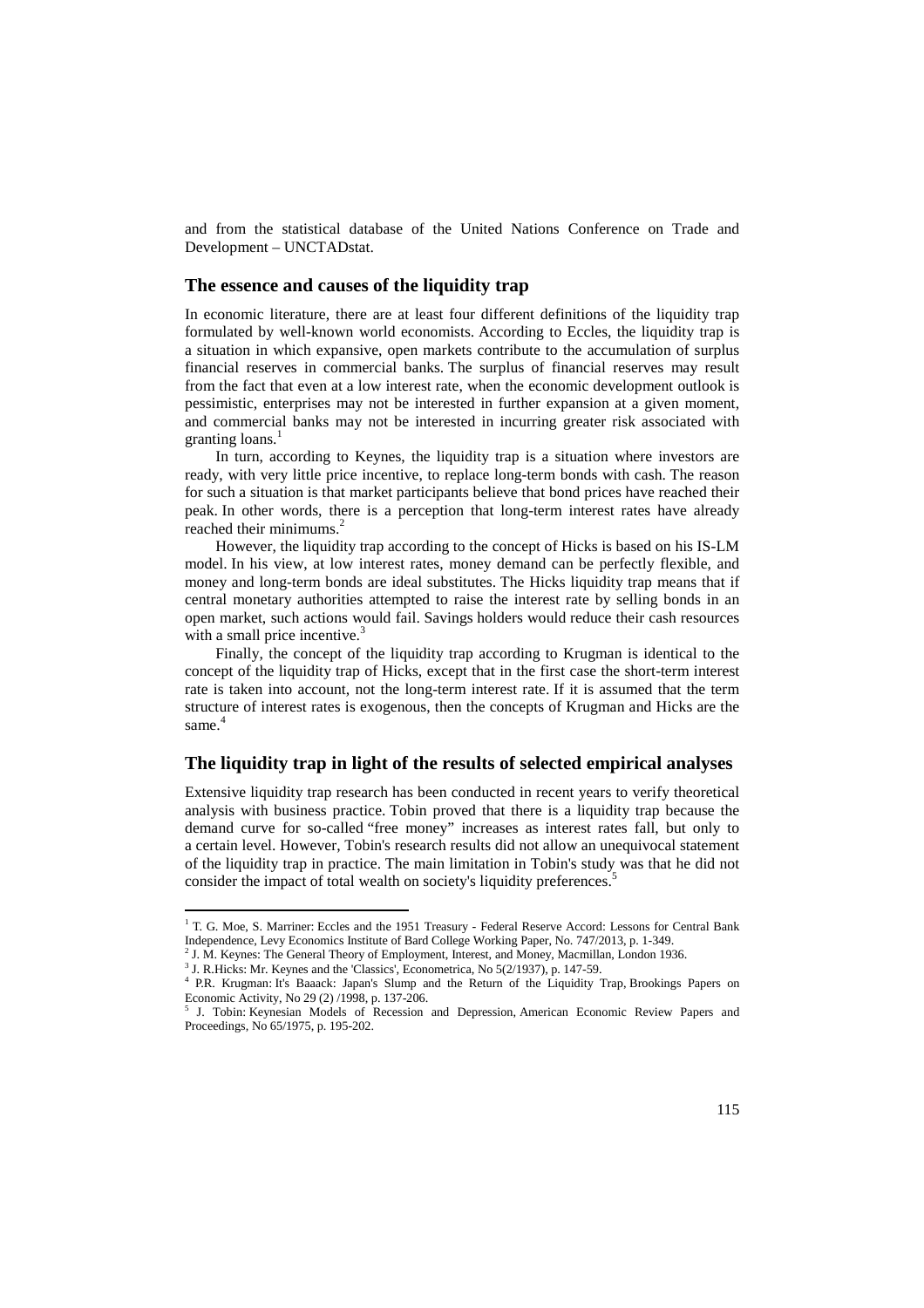and from the statistical database of the United Nations Conference on Trade and Development – UNCTADstat.

#### **The essence and causes of the liquidity trap**

In economic literature, there are at least four different definitions of the liquidity trap formulated by well-known world economists. According to Eccles, the liquidity trap is a situation in which expansive, open markets contribute to the accumulation of surplus financial reserves in commercial banks. The surplus of financial reserves may result from the fact that even at a low interest rate, when the economic development outlook is pessimistic, enterprises may not be interested in further expansion at a given moment, and commercial banks may not be interested in incurring greater risk associated with granting loans. $<sup>1</sup>$ </sup>

In turn, according to Keynes, the liquidity trap is a situation where investors are ready, with very little price incentive, to replace long-term bonds with cash. The reason for such a situation is that market participants believe that bond prices have reached their peak. In other words, there is a perception that long-term interest rates have already reached their minimums.<sup>2</sup>

However, the liquidity trap according to the concept of Hicks is based on his IS-LM model. In his view, at low interest rates, money demand can be perfectly flexible, and money and long-term bonds are ideal substitutes. The Hicks liquidity trap means that if central monetary authorities attempted to raise the interest rate by selling bonds in an open market, such actions would fail. Savings holders would reduce their cash resources with a small price incentive.<sup>3</sup>

Finally, the concept of the liquidity trap according to Krugman is identical to the concept of the liquidity trap of Hicks, except that in the first case the short-term interest rate is taken into account, not the long-term interest rate. If it is assumed that the term structure of interest rates is exogenous, then the concepts of Krugman and Hicks are the same.<sup>4</sup>

#### **The liquidity trap in light of the results of selected empirical analyses**

Extensive liquidity trap research has been conducted in recent years to verify theoretical analysis with business practice. Tobin proved that there is a liquidity trap because the demand curve for so-called "free money" increases as interest rates fall, but only to a certain level. However, Tobin's research results did not allow an unequivocal statement of the liquidity trap in practice. The main limitation in Tobin's study was that he did not consider the impact of total wealth on society's liquidity preferences.<sup>5</sup>

<sup>&</sup>lt;sup>1</sup> T. G. Moe, S. Marriner: Eccles and the 1951 Treasury - Federal Reserve Accord: Lessons for Central Bank Independence, Levy Economics Institute of Bard College Working Paper, No. 747/2013, p. 1-349.

<sup>2</sup> J. M. Keynes: The General Theory of Employment, Interest, and Money, Macmillan, London 1936.

<sup>&</sup>lt;sup>3</sup> J. R.Hicks: Mr. Keynes and the 'Classics', Econometrica, No 5(2/1937), p. 147-59.

<sup>4</sup> P.R. Krugman: It's Baaack: Japan's Slump and the Return of the Liquidity Trap, Brookings Papers on Economic Activity, No 29 (2) /1998, p. 137-206.

<sup>5</sup> J. Tobin: Keynesian Models of Recession and Depression, American Economic Review Papers and Proceedings, No 65/1975, p. 195-202.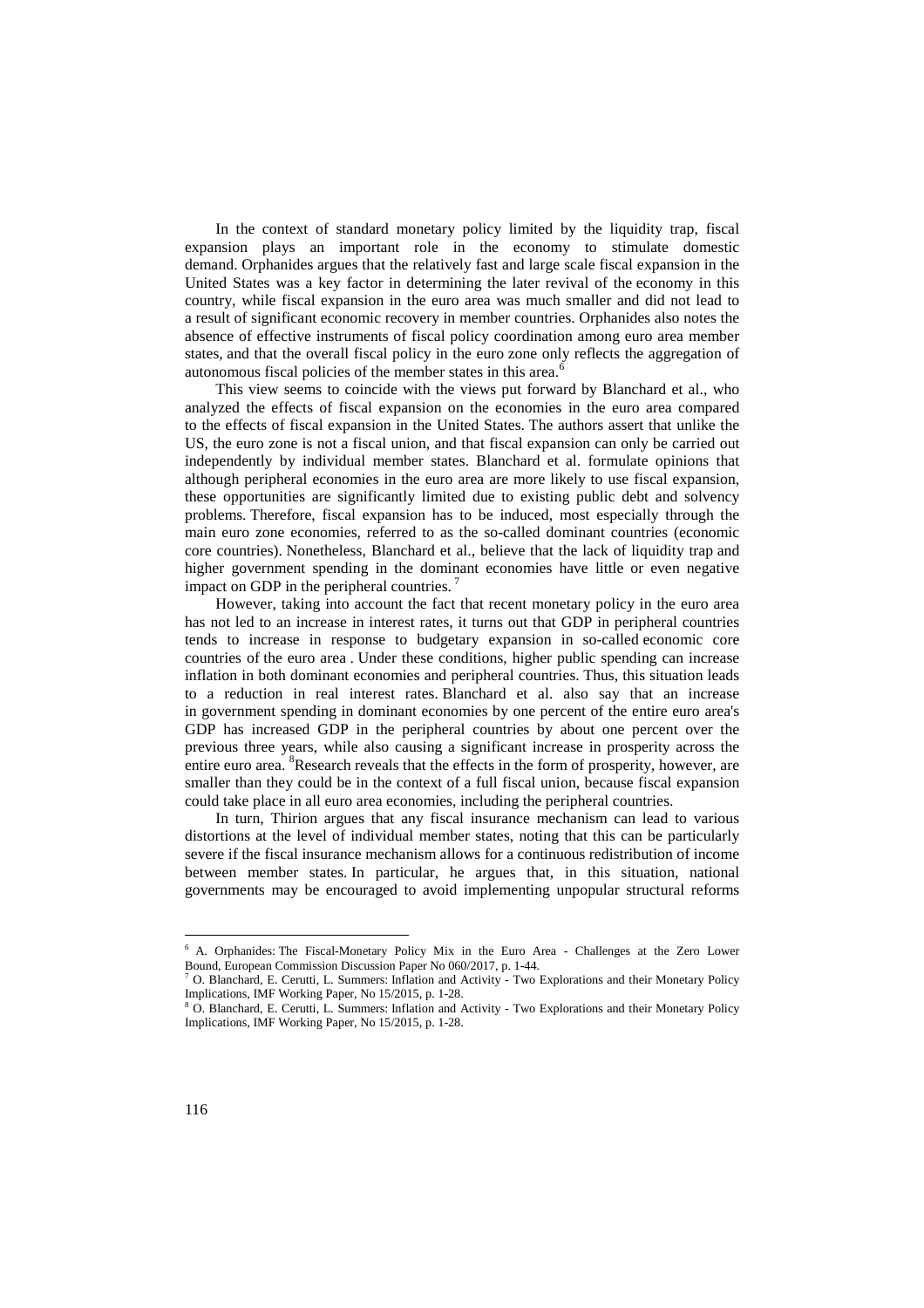In the context of standard monetary policy limited by the liquidity trap, fiscal expansion plays an important role in the economy to stimulate domestic demand. Orphanides argues that the relatively fast and large scale fiscal expansion in the United States was a key factor in determining the later revival of the economy in this country, while fiscal expansion in the euro area was much smaller and did not lead to a result of significant economic recovery in member countries. Orphanides also notes the absence of effective instruments of fiscal policy coordination among euro area member states, and that the overall fiscal policy in the euro zone only reflects the aggregation of autonomous fiscal policies of the member states in this area.<sup>6</sup>

This view seems to coincide with the views put forward by Blanchard et al., who analyzed the effects of fiscal expansion on the economies in the euro area compared to the effects of fiscal expansion in the United States. The authors assert that unlike the US, the euro zone is not a fiscal union, and that fiscal expansion can only be carried out independently by individual member states. Blanchard et al. formulate opinions that although peripheral economies in the euro area are more likely to use fiscal expansion, these opportunities are significantly limited due to existing public debt and solvency problems. Therefore, fiscal expansion has to be induced, most especially through the main euro zone economies, referred to as the so-called dominant countries (economic core countries). Nonetheless, Blanchard et al., believe that the lack of liquidity trap and higher government spending in the dominant economies have little or even negative impact on GDP in the peripheral countries.<sup>7</sup>

However, taking into account the fact that recent monetary policy in the euro area has not led to an increase in interest rates, it turns out that GDP in peripheral countries tends to increase in response to budgetary expansion in so-called economic core countries of the euro area . Under these conditions, higher public spending can increase inflation in both dominant economies and peripheral countries. Thus, this situation leads to a reduction in real interest rates. Blanchard et al. also say that an increase in government spending in dominant economies by one percent of the entire euro area's GDP has increased GDP in the peripheral countries by about one percent over the previous three years, while also causing a significant increase in prosperity across the entire euro area. <sup>8</sup>Research reveals that the effects in the form of prosperity, however, are smaller than they could be in the context of a full fiscal union, because fiscal expansion could take place in all euro area economies, including the peripheral countries.

In turn, Thirion argues that any fiscal insurance mechanism can lead to various distortions at the level of individual member states, noting that this can be particularly severe if the fiscal insurance mechanism allows for a continuous redistribution of income between member states. In particular, he argues that, in this situation, national governments may be encouraged to avoid implementing unpopular structural reforms

<sup>6</sup> A. Orphanides: The Fiscal-Monetary Policy Mix in the Euro Area - Challenges at the Zero Lower Bound, European Commission Discussion Paper No 060/2017, p. 1-44.

<sup>7</sup> O. Blanchard, E. Cerutti, L. Summers: Inflation and Activity - Two Explorations and their Monetary Policy Implications, IMF Working Paper, No 15/2015, p. 1-28.

<sup>&</sup>lt;sup>8</sup> O. Blanchard, E. Cerutti, L. Summers: Inflation and Activity - Two Explorations and their Monetary Policy Implications, IMF Working Paper, No 15/2015, p. 1-28.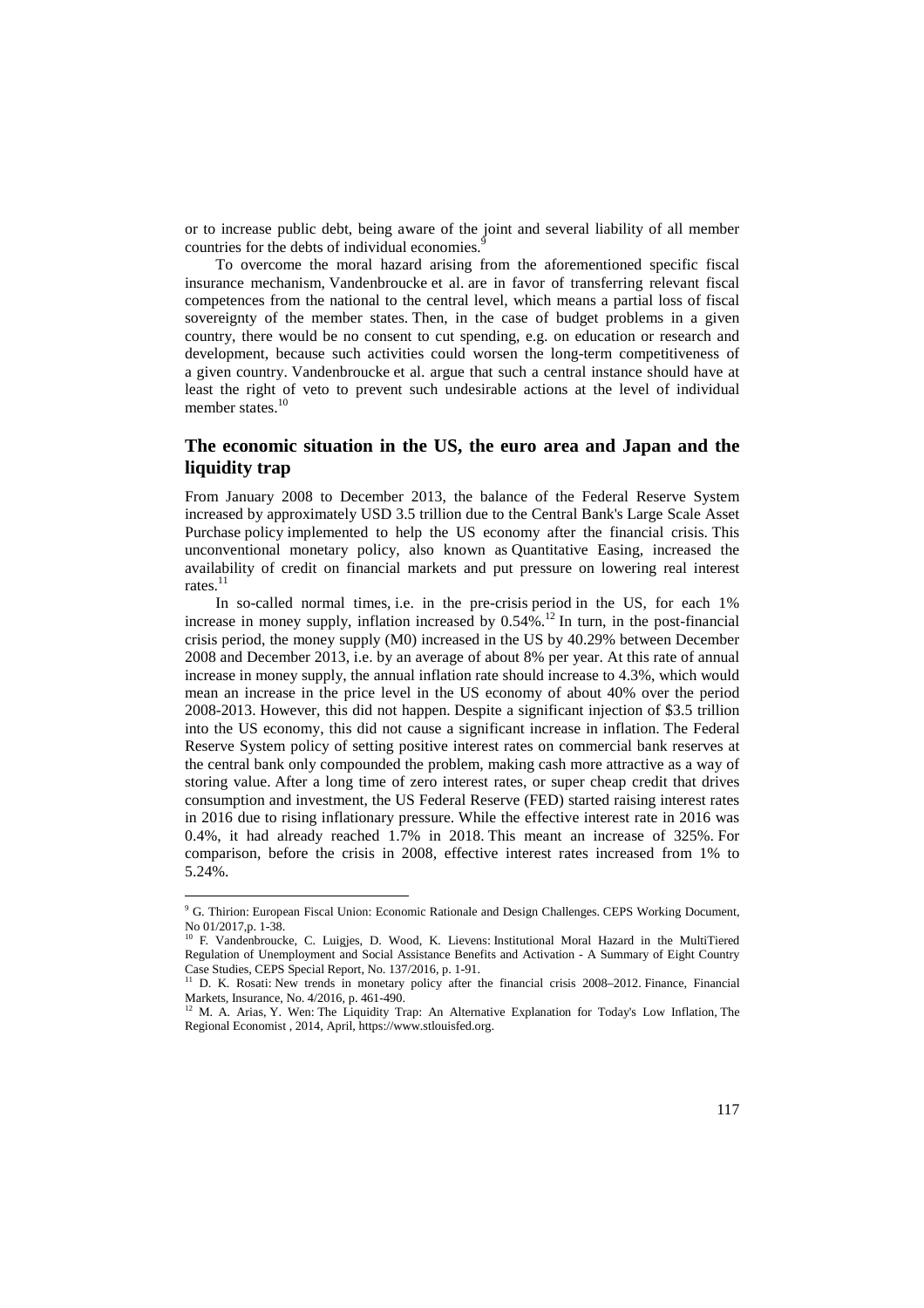or to increase public debt, being aware of the joint and several liability of all member countries for the debts of individual economies.<sup>9</sup>

To overcome the moral hazard arising from the aforementioned specific fiscal insurance mechanism, Vandenbroucke et al. are in favor of transferring relevant fiscal competences from the national to the central level, which means a partial loss of fiscal sovereignty of the member states. Then, in the case of budget problems in a given country, there would be no consent to cut spending, e.g. on education or research and development, because such activities could worsen the long-term competitiveness of a given country. Vandenbroucke et al. argue that such a central instance should have at least the right of veto to prevent such undesirable actions at the level of individual member states.<sup>10</sup>

### **The economic situation in the US, the euro area and Japan and the liquidity trap**

From January 2008 to December 2013, the balance of the Federal Reserve System increased by approximately USD 3.5 trillion due to the Central Bank's Large Scale Asset Purchase policy implemented to help the US economy after the financial crisis. This unconventional monetary policy, also known as Quantitative Easing, increased the availability of credit on financial markets and put pressure on lowering real interest rates. $^{11}$ 

In so-called normal times, i.e. in the pre-crisis period in the US, for each 1% increase in money supply, inflation increased by  $0.54\%$ .<sup>12</sup> In turn, in the post-financial crisis period, the money supply (M0) increased in the US by 40.29% between December 2008 and December 2013, i.e. by an average of about 8% per year. At this rate of annual increase in money supply, the annual inflation rate should increase to 4.3%, which would mean an increase in the price level in the US economy of about 40% over the period 2008-2013. However, this did not happen. Despite a significant injection of \$3.5 trillion into the US economy, this did not cause a significant increase in inflation. The Federal Reserve System policy of setting positive interest rates on commercial bank reserves at the central bank only compounded the problem, making cash more attractive as a way of storing value. After a long time of zero interest rates, or super cheap credit that drives consumption and investment, the US Federal Reserve (FED) started raising interest rates in 2016 due to rising inflationary pressure. While the effective interest rate in 2016 was 0.4%, it had already reached 1.7% in 2018. This meant an increase of 325%. For comparison, before the crisis in 2008, effective interest rates increased from 1% to 5.24%.

<sup>&</sup>lt;sup>9</sup> G. Thirion: European Fiscal Union: Economic Rationale and Design Challenges. CEPS Working Document, No 01/2017,p. 1-38.

<sup>&</sup>lt;sup>10</sup> F. Vandenbroucke, C. Luigjes, D. Wood, K. Lievens: Institutional Moral Hazard in the MultiTiered Regulation of Unemployment and Social Assistance Benefits and Activation - A Summary of Eight Country Case Studies, CEPS Special Report, No. 137/2016, p. 1-91.

<sup>&</sup>lt;sup>11</sup> D. K. Rosati: New trends in monetary policy after the financial crisis 2008–2012. Finance, Financial Markets, Insurance, No. 4/2016, p. 461-490.

<sup>&</sup>lt;sup>12</sup> M. A. Arias, Y. Wen: The Liquidity Trap: An Alternative Explanation for Today's Low Inflation, The Regional Economist , 2014, April, https://www.stlouisfed.org.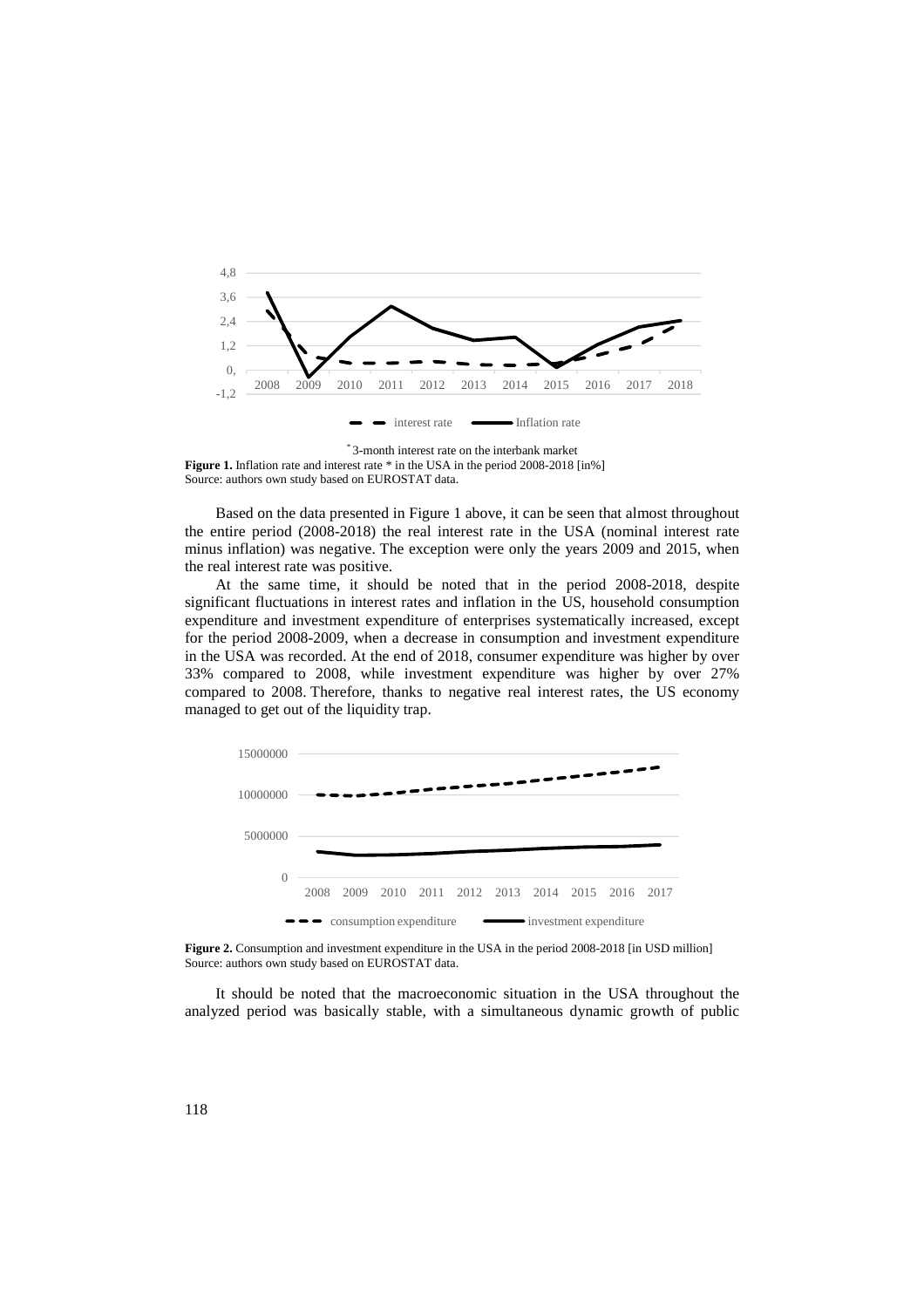

\* 3-month interest rate on the interbank market **Figure 1.** Inflation rate and interest rate \* in the USA in the period 2008-2018 [in%] Source: authors own study based on EUROSTAT data.

Based on the data presented in Figure 1 above, it can be seen that almost throughout the entire period (2008-2018) the real interest rate in the USA (nominal interest rate minus inflation) was negative. The exception were only the years 2009 and 2015, when the real interest rate was positive.

At the same time, it should be noted that in the period 2008-2018, despite significant fluctuations in interest rates and inflation in the US, household consumption expenditure and investment expenditure of enterprises systematically increased, except for the period 2008-2009, when a decrease in consumption and investment expenditure in the USA was recorded. At the end of 2018, consumer expenditure was higher by over 33% compared to 2008, while investment expenditure was higher by over 27% compared to 2008. Therefore, thanks to negative real interest rates, the US economy managed to get out of the liquidity trap.



**Figure 2.** Consumption and investment expenditure in the USA in the period 2008-2018 [in USD million] Source: authors own study based on EUROSTAT data.

It should be noted that the macroeconomic situation in the USA throughout the analyzed period was basically stable, with a simultaneous dynamic growth of public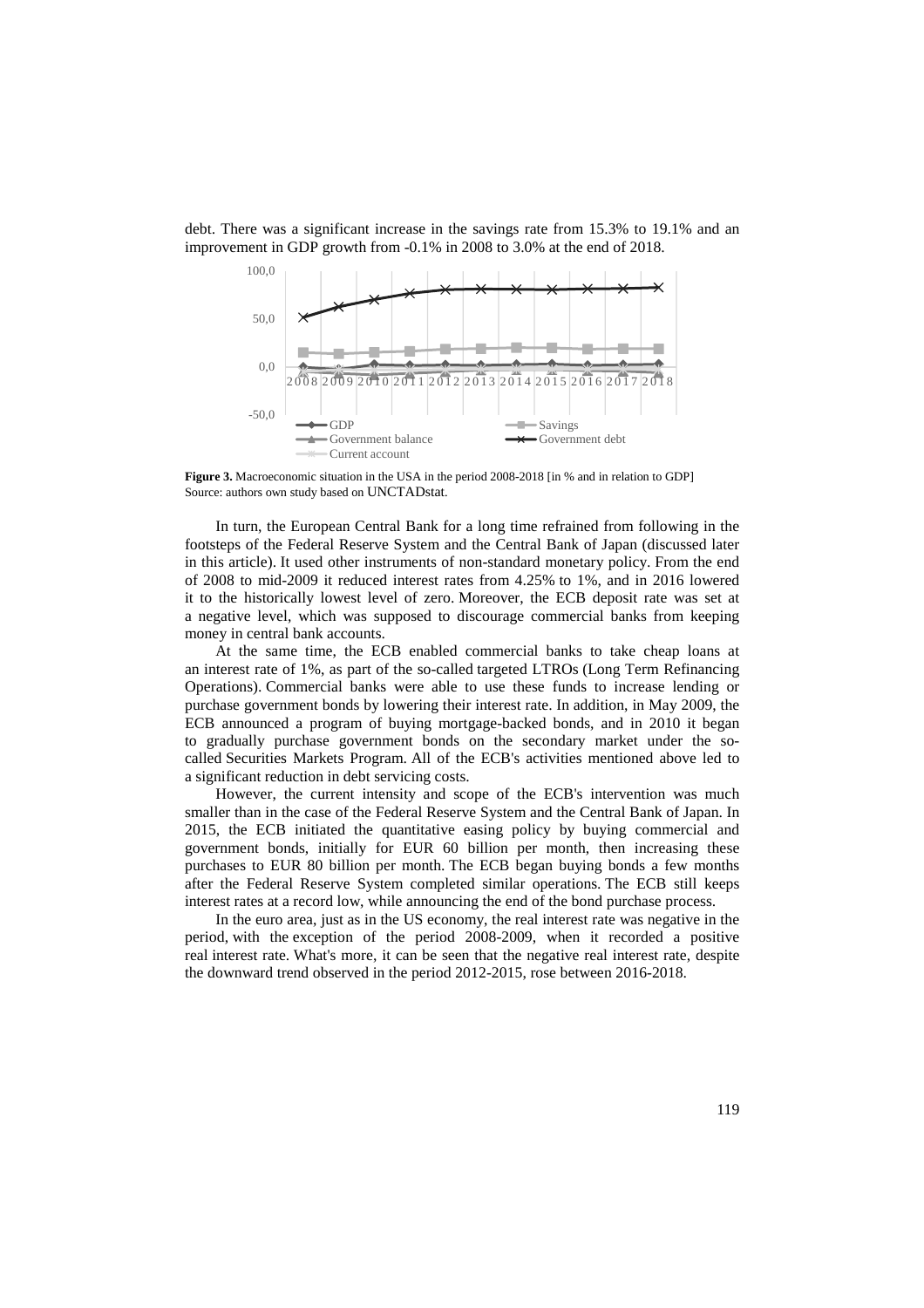

debt. There was a significant increase in the savings rate from 15.3% to 19.1% and an improvement in GDP growth from -0.1% in 2008 to 3.0% at the end of 2018.

**Figure 3.** Macroeconomic situation in the USA in the period 2008-2018 [in % and in relation to GDP] Source: authors own study based on UNCTADstat.

In turn, the European Central Bank for a long time refrained from following in the footsteps of the Federal Reserve System and the Central Bank of Japan (discussed later in this article). It used other instruments of non-standard monetary policy. From the end of 2008 to mid-2009 it reduced interest rates from 4.25% to 1%, and in 2016 lowered it to the historically lowest level of zero. Moreover, the ECB deposit rate was set at a negative level, which was supposed to discourage commercial banks from keeping money in central bank accounts.

At the same time, the ECB enabled commercial banks to take cheap loans at an interest rate of 1%, as part of the so-called targeted LTROs (Long Term Refinancing Operations). Commercial banks were able to use these funds to increase lending or purchase government bonds by lowering their interest rate. In addition, in May 2009, the ECB announced a program of buying mortgage-backed bonds, and in 2010 it began to gradually purchase government bonds on the secondary market under the socalled Securities Markets Program. All of the ECB's activities mentioned above led to a significant reduction in debt servicing costs.

However, the current intensity and scope of the ECB's intervention was much smaller than in the case of the Federal Reserve System and the Central Bank of Japan. In 2015, the ECB initiated the quantitative easing policy by buying commercial and government bonds, initially for EUR 60 billion per month, then increasing these purchases to EUR 80 billion per month. The ECB began buying bonds a few months after the Federal Reserve System completed similar operations. The ECB still keeps interest rates at a record low, while announcing the end of the bond purchase process.

In the euro area, just as in the US economy, the real interest rate was negative in the period, with the exception of the period 2008-2009, when it recorded a positive real interest rate. What's more, it can be seen that the negative real interest rate, despite the downward trend observed in the period 2012-2015, rose between 2016-2018.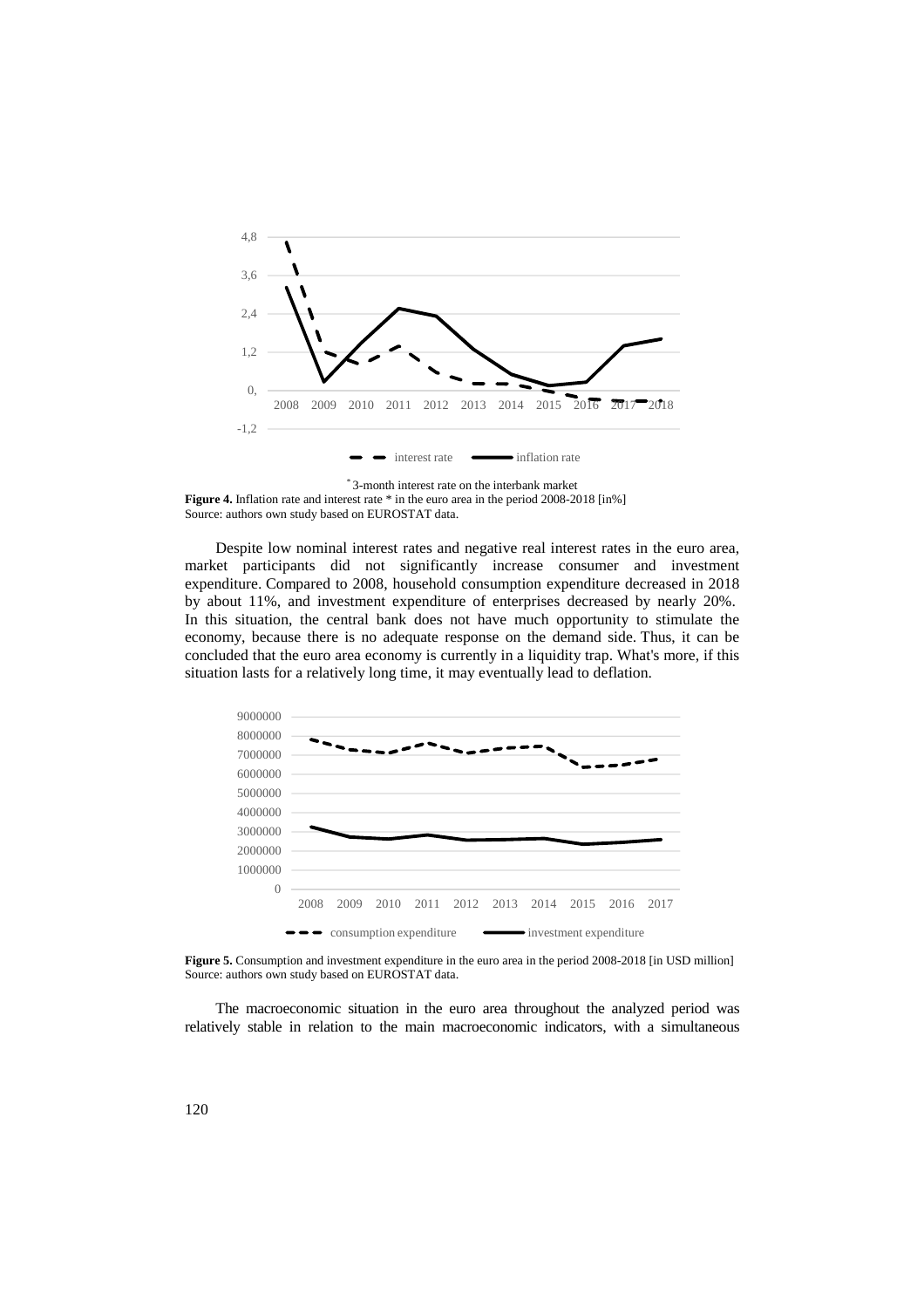

\* 3-month interest rate on the interbank market **Figure 4.** Inflation rate and interest rate \* in the euro area in the period 2008-2018 [in%] Source: authors own study based on EUROSTAT data.

Despite low nominal interest rates and negative real interest rates in the euro area, market participants did not significantly increase consumer and investment expenditure. Compared to 2008, household consumption expenditure decreased in 2018 by about 11%, and investment expenditure of enterprises decreased by nearly 20%. In this situation, the central bank does not have much opportunity to stimulate the economy, because there is no adequate response on the demand side. Thus, it can be concluded that the euro area economy is currently in a liquidity trap. What's more, if this situation lasts for a relatively long time, it may eventually lead to deflation.



**Figure 5.** Consumption and investment expenditure in the euro area in the period 2008-2018 [in USD million] Source: authors own study based on EUROSTAT data.

The macroeconomic situation in the euro area throughout the analyzed period was relatively stable in relation to the main macroeconomic indicators, with a simultaneous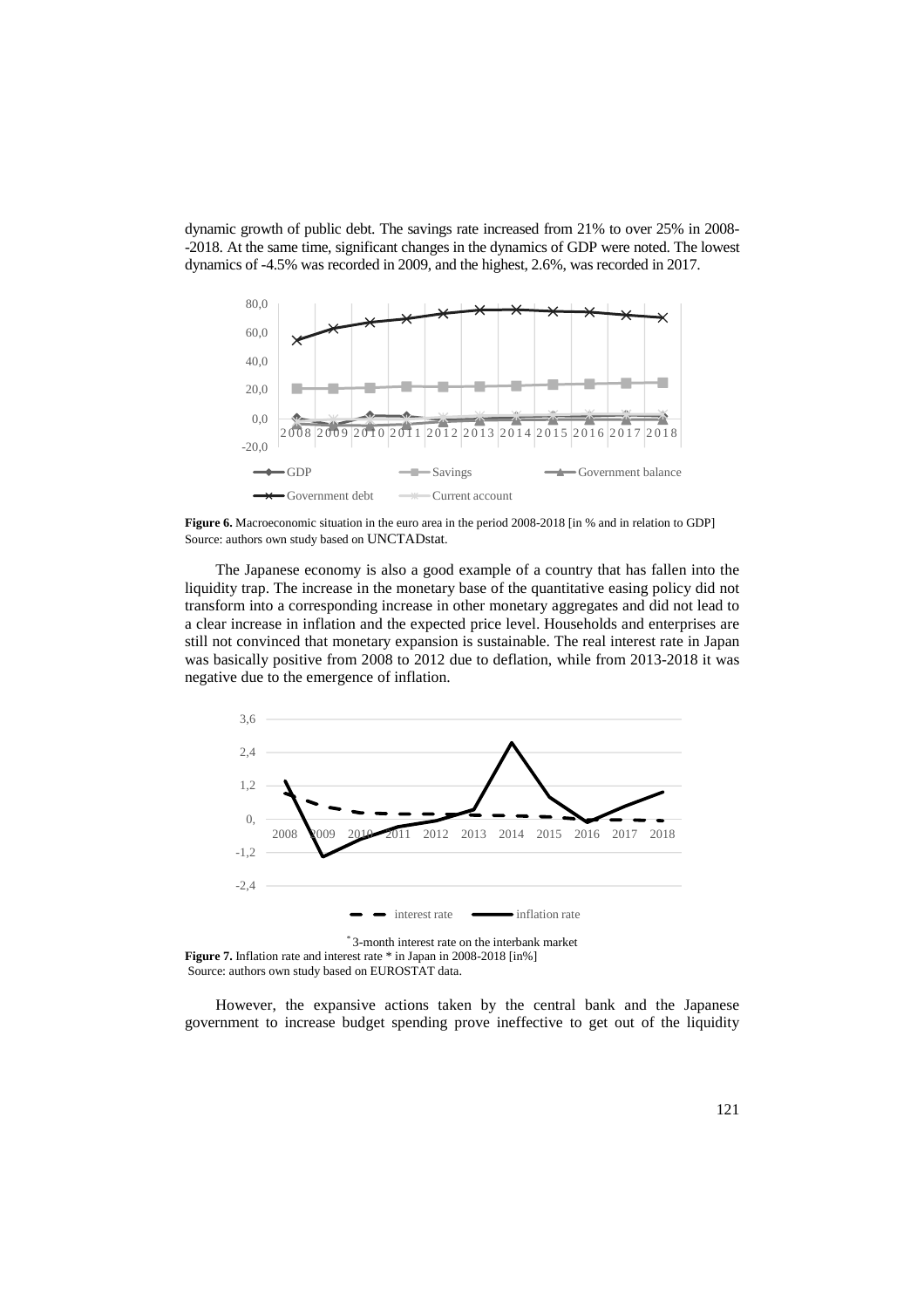dynamic growth of public debt. The savings rate increased from 21% to over 25% in 2008- -2018. At the same time, significant changes in the dynamics of GDP were noted. The lowest dynamics of -4.5% was recorded in 2009, and the highest, 2.6%, was recorded in 2017.



**Figure 6.** Macroeconomic situation in the euro area in the period 2008-2018 [in % and in relation to GDP] Source: authors own study based on UNCTADstat.

The Japanese economy is also a good example of a country that has fallen into the liquidity trap. The increase in the monetary base of the quantitative easing policy did not transform into a corresponding increase in other monetary aggregates and did not lead to a clear increase in inflation and the expected price level. Households and enterprises are still not convinced that monetary expansion is sustainable. The real interest rate in Japan was basically positive from 2008 to 2012 due to deflation, while from 2013-2018 it was negative due to the emergence of inflation.



\* 3-month interest rate on the interbank market **Figure 7.** Inflation rate and interest rate \* in Japan in 2008-2018 [in%] Source: authors own study based on EUROSTAT data.

However, the expansive actions taken by the central bank and the Japanese government to increase budget spending prove ineffective to get out of the liquidity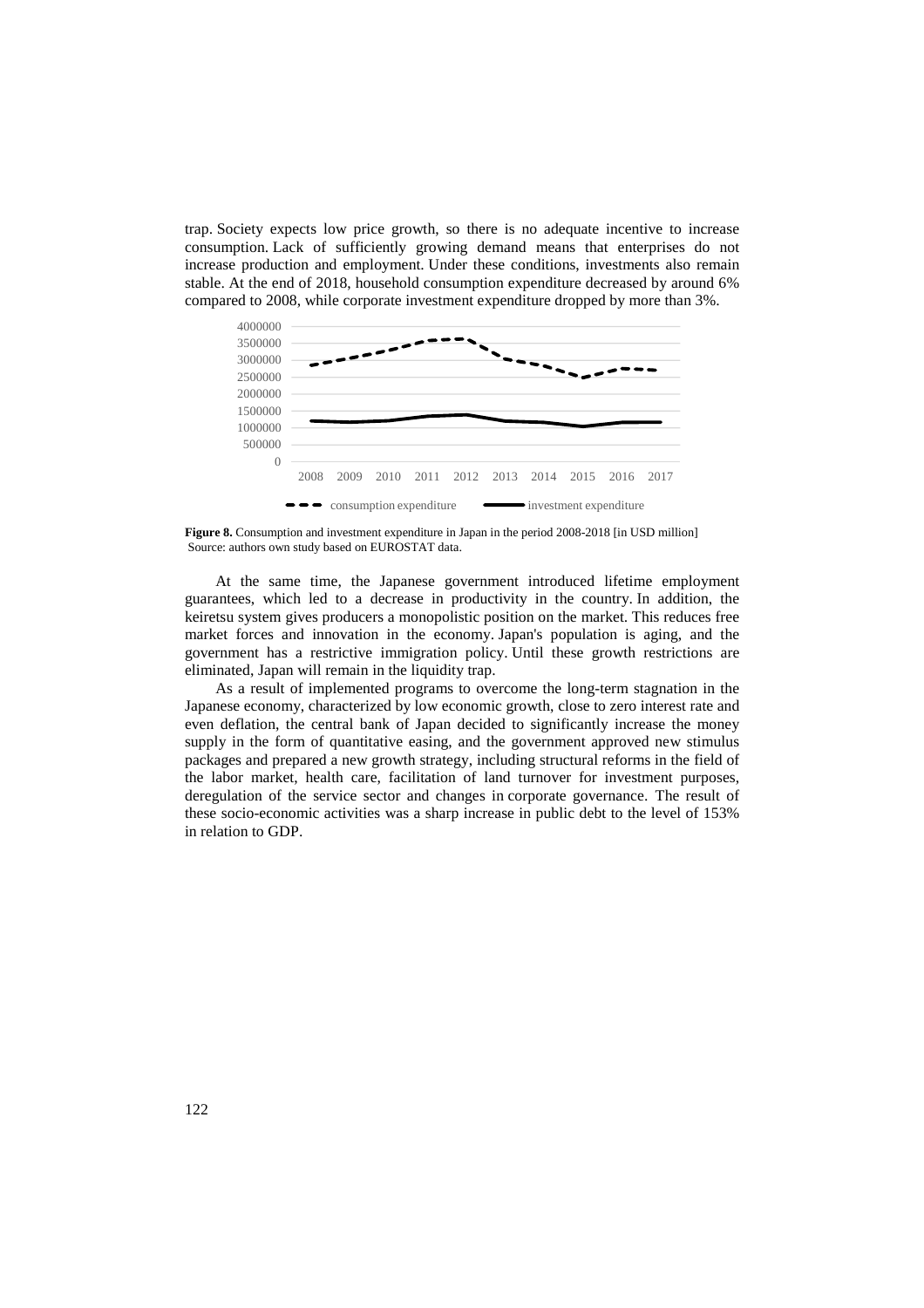trap. Society expects low price growth, so there is no adequate incentive to increase consumption. Lack of sufficiently growing demand means that enterprises do not increase production and employment. Under these conditions, investments also remain stable. At the end of 2018, household consumption expenditure decreased by around 6% compared to 2008, while corporate investment expenditure dropped by more than 3%.



**Figure 8.** Consumption and investment expenditure in Japan in the period 2008-2018 [in USD million] Source: authors own study based on EUROSTAT data.

At the same time, the Japanese government introduced lifetime employment guarantees, which led to a decrease in productivity in the country. In addition, the keiretsu system gives producers a monopolistic position on the market. This reduces free market forces and innovation in the economy. Japan's population is aging, and the government has a restrictive immigration policy. Until these growth restrictions are eliminated, Japan will remain in the liquidity trap.

As a result of implemented programs to overcome the long-term stagnation in the Japanese economy, characterized by low economic growth, close to zero interest rate and even deflation, the central bank of Japan decided to significantly increase the money supply in the form of quantitative easing, and the government approved new stimulus packages and prepared a new growth strategy, including structural reforms in the field of the labor market, health care, facilitation of land turnover for investment purposes, deregulation of the service sector and changes in corporate governance. The result of these socio-economic activities was a sharp increase in public debt to the level of 153% in relation to GDP.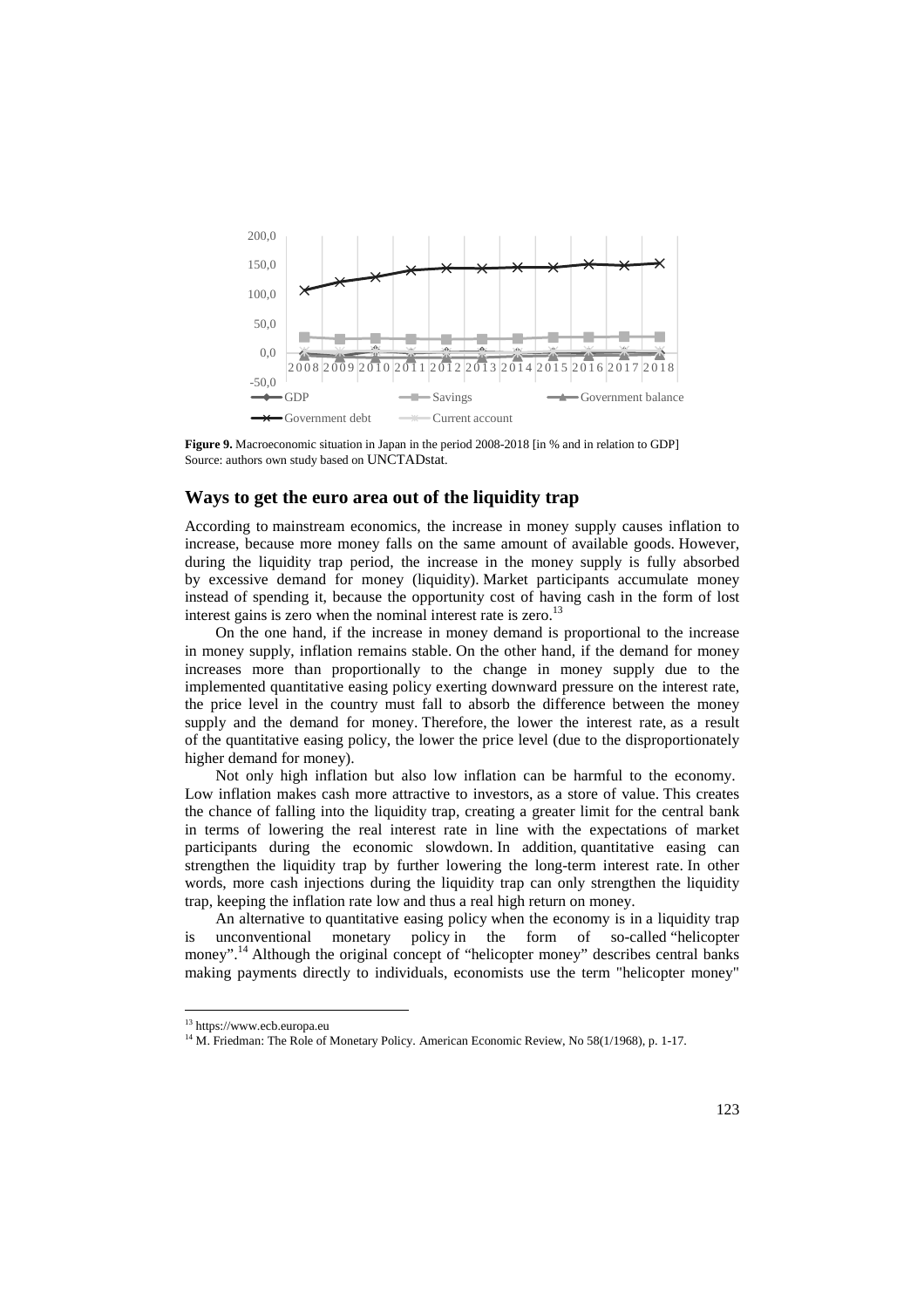

**Figure 9.** Macroeconomic situation in Japan in the period 2008-2018 [in % and in relation to GDP] Source: authors own study based on UNCTADstat.

#### **Ways to get the euro area out of the liquidity trap**

According to mainstream economics, the increase in money supply causes inflation to increase, because more money falls on the same amount of available goods. However, during the liquidity trap period, the increase in the money supply is fully absorbed by excessive demand for money (liquidity). Market participants accumulate money instead of spending it, because the opportunity cost of having cash in the form of lost interest gains is zero when the nominal interest rate is zero.<sup>13</sup>

On the one hand, if the increase in money demand is proportional to the increase in money supply, inflation remains stable. On the other hand, if the demand for money increases more than proportionally to the change in money supply due to the implemented quantitative easing policy exerting downward pressure on the interest rate, the price level in the country must fall to absorb the difference between the money supply and the demand for money. Therefore, the lower the interest rate, as a result of the quantitative easing policy, the lower the price level (due to the disproportionately higher demand for money).

Not only high inflation but also low inflation can be harmful to the economy. Low inflation makes cash more attractive to investors, as a store of value. This creates the chance of falling into the liquidity trap, creating a greater limit for the central bank in terms of lowering the real interest rate in line with the expectations of market participants during the economic slowdown. In addition, quantitative easing can strengthen the liquidity trap by further lowering the long-term interest rate. In other words, more cash injections during the liquidity trap can only strengthen the liquidity trap, keeping the inflation rate low and thus a real high return on money.

An alternative to quantitative easing policy when the economy is in a liquidity trap is unconventional monetary policy in the form of so-called "helicopter money".<sup>14</sup> Although the original concept of "helicopter money" describes central banks making payments directly to individuals, economists use the term "helicopter money"

<sup>&</sup>lt;sup>13</sup> https://www.ecb.europa.eu

<sup>&</sup>lt;sup>14</sup> M. Friedman: The Role of Monetary Policy. American Economic Review, No 58(1/1968), p. 1-17.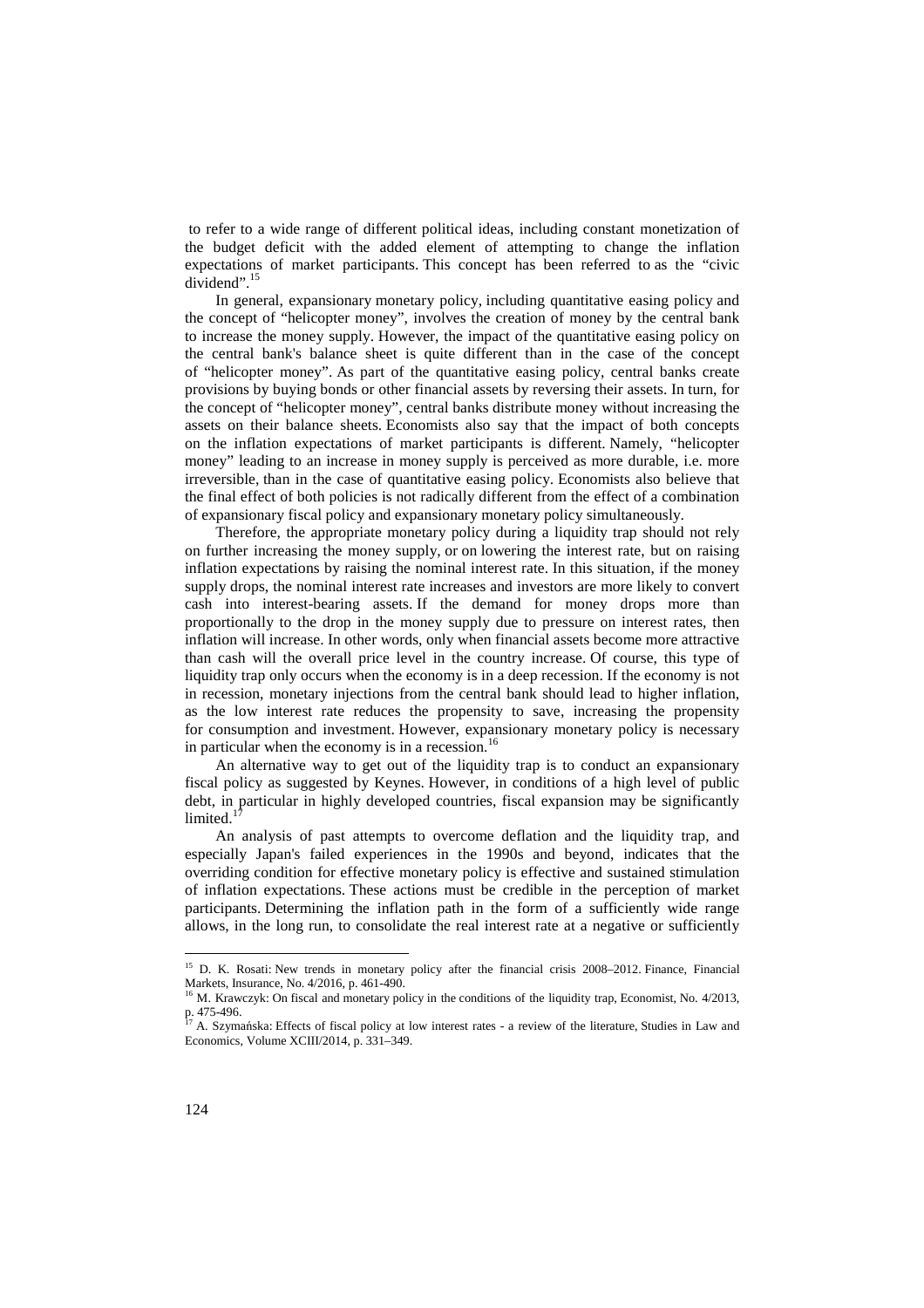to refer to a wide range of different political ideas, including constant monetization of the budget deficit with the added element of attempting to change the inflation expectations of market participants. This concept has been referred to as the "civic dividend".<sup>15</sup>

In general, expansionary monetary policy, including quantitative easing policy and the concept of "helicopter money", involves the creation of money by the central bank to increase the money supply. However, the impact of the quantitative easing policy on the central bank's balance sheet is quite different than in the case of the concept of "helicopter money". As part of the quantitative easing policy, central banks create provisions by buying bonds or other financial assets by reversing their assets. In turn, for the concept of "helicopter money", central banks distribute money without increasing the assets on their balance sheets. Economists also say that the impact of both concepts on the inflation expectations of market participants is different. Namely, "helicopter money" leading to an increase in money supply is perceived as more durable, i.e. more irreversible, than in the case of quantitative easing policy. Economists also believe that the final effect of both policies is not radically different from the effect of a combination of expansionary fiscal policy and expansionary monetary policy simultaneously.

Therefore, the appropriate monetary policy during a liquidity trap should not rely on further increasing the money supply, or on lowering the interest rate, but on raising inflation expectations by raising the nominal interest rate. In this situation, if the money supply drops, the nominal interest rate increases and investors are more likely to convert cash into interest-bearing assets. If the demand for money drops more than proportionally to the drop in the money supply due to pressure on interest rates, then inflation will increase. In other words, only when financial assets become more attractive than cash will the overall price level in the country increase. Of course, this type of liquidity trap only occurs when the economy is in a deep recession. If the economy is not in recession, monetary injections from the central bank should lead to higher inflation, as the low interest rate reduces the propensity to save, increasing the propensity for consumption and investment. However, expansionary monetary policy is necessary in particular when the economy is in a recession.<sup>16</sup>

An alternative way to get out of the liquidity trap is to conduct an expansionary fiscal policy as suggested by Keynes. However, in conditions of a high level of public debt, in particular in highly developed countries, fiscal expansion may be significantly limited. $<sup>1</sup>$ </sup>

An analysis of past attempts to overcome deflation and the liquidity trap, and especially Japan's failed experiences in the 1990s and beyond, indicates that the overriding condition for effective monetary policy is effective and sustained stimulation of inflation expectations. These actions must be credible in the perception of market participants. Determining the inflation path in the form of a sufficiently wide range allows, in the long run, to consolidate the real interest rate at a negative or sufficiently

<sup>&</sup>lt;sup>15</sup> D. K. Rosati: New trends in monetary policy after the financial crisis 2008–2012. Finance, Financial Markets, Insurance, No. 4/2016, p. 461-490.

<sup>&</sup>lt;sup>16</sup> M. Krawczyk: On fiscal and monetary policy in the conditions of the liquidity trap, Economist, No. 4/2013, p. 475-496.

<sup>17</sup> A. Szymańska: Effects of fiscal policy at low interest rates - a review of the literature, Studies in Law and Economics, Volume XCIII/2014, p. 331–349.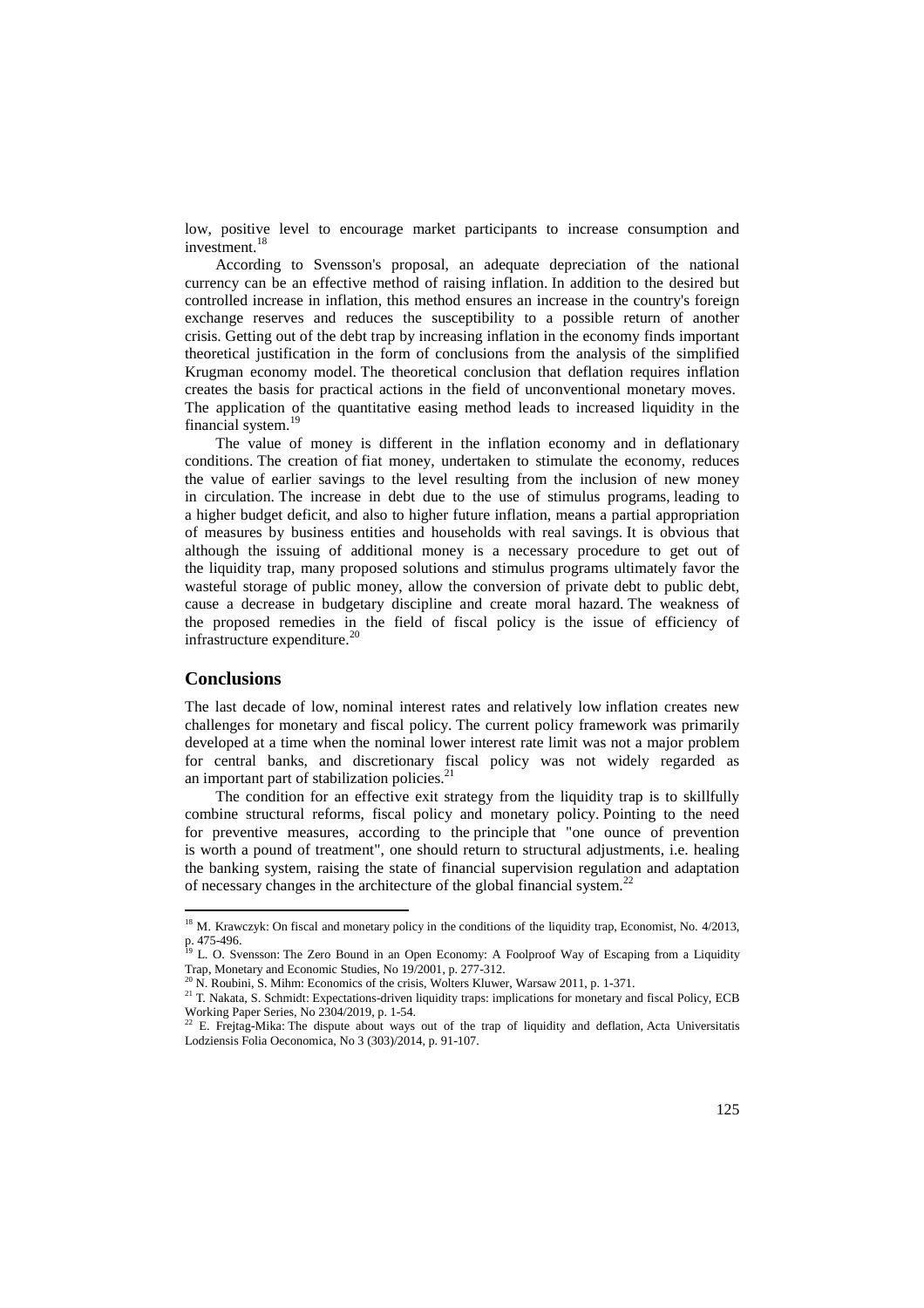low, positive level to encourage market participants to increase consumption and investment.<sup>18</sup>

According to Svensson's proposal, an adequate depreciation of the national currency can be an effective method of raising inflation. In addition to the desired but controlled increase in inflation, this method ensures an increase in the country's foreign exchange reserves and reduces the susceptibility to a possible return of another crisis. Getting out of the debt trap by increasing inflation in the economy finds important theoretical justification in the form of conclusions from the analysis of the simplified Krugman economy model. The theoretical conclusion that deflation requires inflation creates the basis for practical actions in the field of unconventional monetary moves. The application of the quantitative easing method leads to increased liquidity in the financial system.<sup>19</sup>

The value of money is different in the inflation economy and in deflationary conditions. The creation of fiat money, undertaken to stimulate the economy, reduces the value of earlier savings to the level resulting from the inclusion of new money in circulation. The increase in debt due to the use of stimulus programs, leading to a higher budget deficit, and also to higher future inflation, means a partial appropriation of measures by business entities and households with real savings. It is obvious that although the issuing of additional money is a necessary procedure to get out of the liquidity trap, many proposed solutions and stimulus programs ultimately favor the wasteful storage of public money, allow the conversion of private debt to public debt, cause a decrease in budgetary discipline and create moral hazard. The weakness of the proposed remedies in the field of fiscal policy is the issue of efficiency of infrastructure expenditure. $^{20}$ 

#### **Conclusions**

 $\overline{a}$ 

The last decade of low, nominal interest rates and relatively low inflation creates new challenges for monetary and fiscal policy. The current policy framework was primarily developed at a time when the nominal lower interest rate limit was not a major problem for central banks, and discretionary fiscal policy was not widely regarded as an important part of stabilization policies. $^{21}$ 

The condition for an effective exit strategy from the liquidity trap is to skillfully combine structural reforms, fiscal policy and monetary policy. Pointing to the need for preventive measures, according to the principle that "one ounce of prevention is worth a pound of treatment", one should return to structural adjustments, i.e. healing the banking system, raising the state of financial supervision regulation and adaptation of necessary changes in the architecture of the global financial system.<sup>22</sup>

<sup>&</sup>lt;sup>18</sup> M. Krawczyk: On fiscal and monetary policy in the conditions of the liquidity trap, Economist, No. 4/2013, p. 475-496.<br><sup>19</sup> L. O. Svensson: The Zero Bound in an Open Economy: A Foolproof Way of Escaping from a Liquidity

Trap, Monetary and Economic Studies, No  $19/2001$ , p. 277-312.<br> $^{20}$  N. Boukini, S. Mila. F

<sup>20</sup> N. Roubini, S. Mihm: Economics of the crisis, Wolters Kluwer, Warsaw 2011, p. 1-371.

<sup>&</sup>lt;sup>21</sup> T. Nakata, S. Schmidt: Expectations-driven liquidity traps: implications for monetary and fiscal Policy, ECB Working Paper Series, No 2304/2019, p. 1-54. <sup>22</sup> E. Frejtag-Mika: The dispute about ways out of the trap of liquidity and deflation, Acta Universitatis

Lodziensis Folia Oeconomica, No 3 (303)/2014, p. 91-107.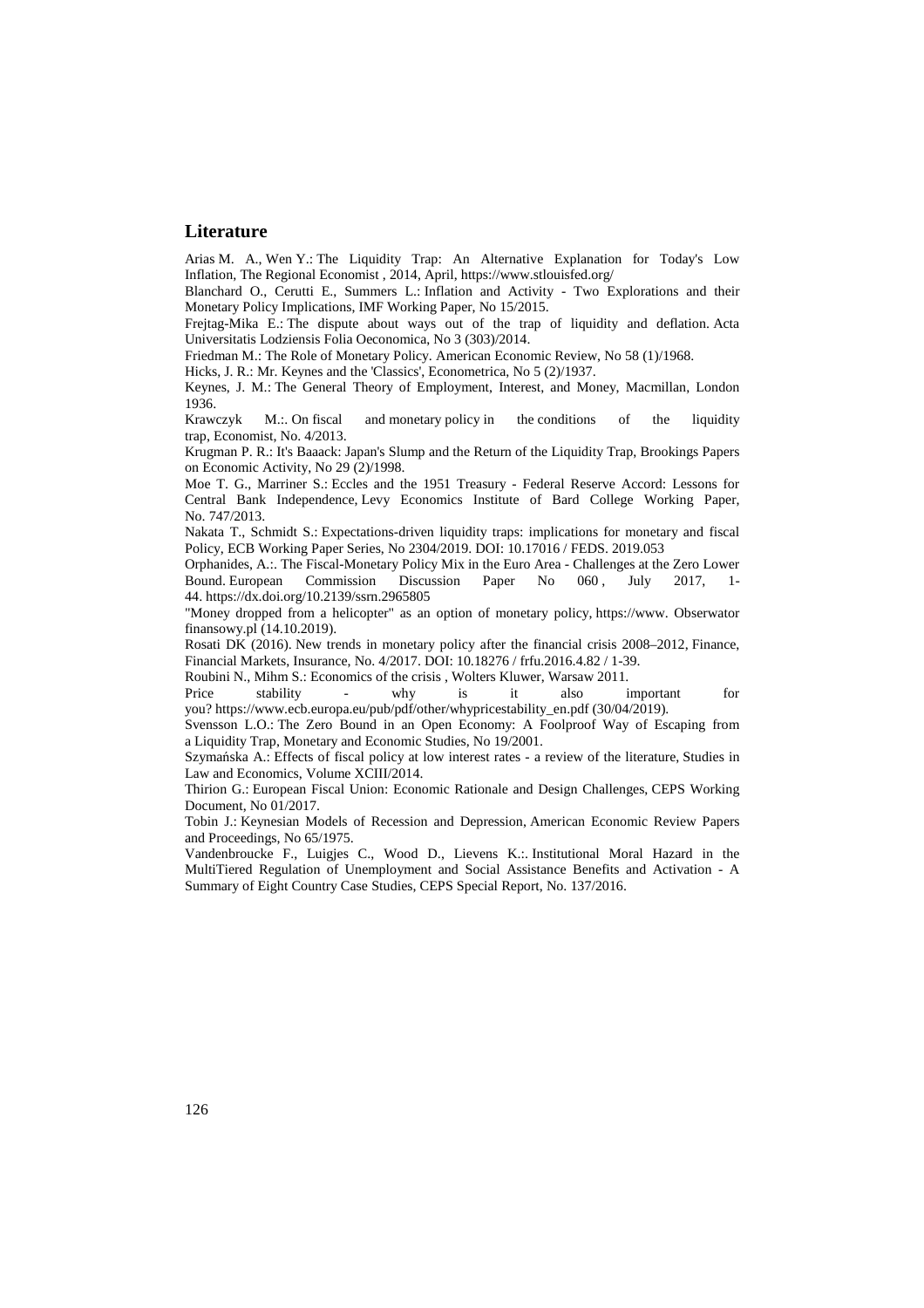#### **Literature**

Arias M. A., Wen Y.: The Liquidity Trap: An Alternative Explanation for Today's Low Inflation, The Regional Economist , 2014, April, https://www.stlouisfed.org/

Blanchard O., Cerutti E., Summers L.: Inflation and Activity - Two Explorations and their Monetary Policy Implications, IMF Working Paper, No 15/2015.

Frejtag-Mika E.: The dispute about ways out of the trap of liquidity and deflation. Acta Universitatis Lodziensis Folia Oeconomica, No 3 (303)/2014.

Friedman M.: The Role of Monetary Policy. American Economic Review, No 58 (1)/1968.

Hicks, J. R.: Mr. Keynes and the 'Classics', Econometrica, No 5 (2)/1937.

Keynes, J. M.: The General Theory of Employment, Interest, and Money, Macmillan, London 1936.<br>Krawczyk

 $M::$  On fiscal and monetary policy in the conditions of the liquidity trap, Economist, No. 4/2013.

Krugman P. R.: It's Baaack: Japan's Slump and the Return of the Liquidity Trap, Brookings Papers on Economic Activity, No 29 (2)/1998.

Moe T. G., Marriner S.: Eccles and the 1951 Treasury - Federal Reserve Accord: Lessons for Central Bank Independence, Levy Economics Institute of Bard College Working Paper, No. 747/2013.

Nakata T., Schmidt S.: Expectations-driven liquidity traps: implications for monetary and fiscal Policy, ECB Working Paper Series, No 2304/2019. DOI: 10.17016 / FEDS. 2019.053

Orphanides, A.:. The Fiscal-Monetary Policy Mix in the Euro Area - Challenges at the Zero Lower Bound. European Commission Discussion Paper No 060, July 2017, 1-44. https://dx.doi.org/10.2139/ssrn.2965805

"Money dropped from a helicopter" as an option of monetary policy, https://www. Obserwator finansowy.pl (14.10.2019).

Rosati DK (2016). New trends in monetary policy after the financial crisis 2008–2012, Finance, Financial Markets, Insurance, No. 4/2017. DOI: 10.18276 / frfu.2016.4.82 / 1-39.

Roubini N., Mihm S.: Economics of the crisis , Wolters Kluwer, Warsaw 2011.

Price stability - why is it also important for you? https://www.ecb.europa.eu/pub/pdf/other/whypricestability\_en.pdf (30/04/2019).

Svensson L.O.: The Zero Bound in an Open Economy: A Foolproof Way of Escaping from a Liquidity Trap, Monetary and Economic Studies, No 19/2001.

Szymańska A.: Effects of fiscal policy at low interest rates - a review of the literature, Studies in Law and Economics, Volume XCIII/2014.

Thirion G.: European Fiscal Union: Economic Rationale and Design Challenges, CEPS Working Document, No 01/2017.

Tobin J.: Keynesian Models of Recession and Depression, American Economic Review Papers and Proceedings, No 65/1975.

Vandenbroucke F., Luigjes C., Wood D., Lievens K.:. Institutional Moral Hazard in the MultiTiered Regulation of Unemployment and Social Assistance Benefits and Activation - A Summary of Eight Country Case Studies, CEPS Special Report, No. 137/2016.